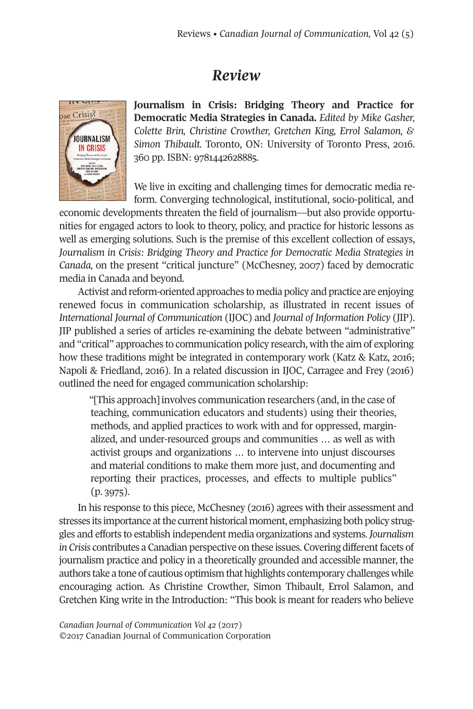## *Review*



**Journalism in Crisis: Bridging Theory and Practice for Democratic Media Strategies in Canada.** *Edited by Mike Gasher, Colette Brin, Christine Crowther, Gretchen King, Errol Salamon, & Simon Thibault.* Toronto, ON: University of Toronto Press, 2016. 360 pp. ISBN: 9781442628885.

We live in exciting and challenging times for democratic media reform. Converging technological, institutional, socio-political, and

economic developments threaten the field of journalism—but also provide opportunities for engaged actors to look to theory, policy, and practice for historic lessons as well as emerging solutions. Such is the premise of this excellent collection of essays, *Journalism in Crisis: Bridging Theory and Practice for Democratic Media Strategies in Canada,* on the present "critical juncture" (McChesney, 2007) faced by democratic media in Canada and beyond.

Activist and reform-oriented approaches to media policy and practice are enjoying renewed focus in communication scholarship, as illustrated in recent issues of *International Journal of Communication* (IJOC) and *Journal of Information Policy* (JIP). JIP published a series of articles re-examining the debate between "administrative" and "critical" approaches to communication policy research, with the aim of exploring how these traditions might be integrated in contemporary work (Katz & Katz, 2016; Napoli & Friedland, 2016). In a related discussion in IJOC, Carragee and Frey (2016) outlined the need for engaged communication scholarship:

"[This approach] involves communication researchers (and, in the case of teaching, communication educators and students) using their theories, methods, and applied practices to work with and for oppressed, marginalized, and under-resourced groups and communities … as well as with activist groups and organizations … to intervene into unjust discourses and material conditions to make them more just, and documenting and reporting their practices, processes, and effects to multiple publics" (p. 3975).

In his response to this piece, McChesney (2016) agrees with their assessment and stresses its importance atthe current historical moment, emphasizing both policy struggles and efforts to establish independent media organizations and systems. *Journalism in Crisis* contributes a Canadian perspective on these issues. Covering differentfacets of journalism practice and policy in a theoretically grounded and accessible manner, the authors take a tone of cautious optimism that highlights contemporary challenges while encouraging action. As Christine Crowther, Simon Thibault, Errol Salamon, and Gretchen King write in the Introduction: "This book is meant for readers who believe

*Canadian Journal of [Communication](http://www.cjc-online.ca) Vol 42* (2017) ©2017 Canadian Journal of Communication Corporation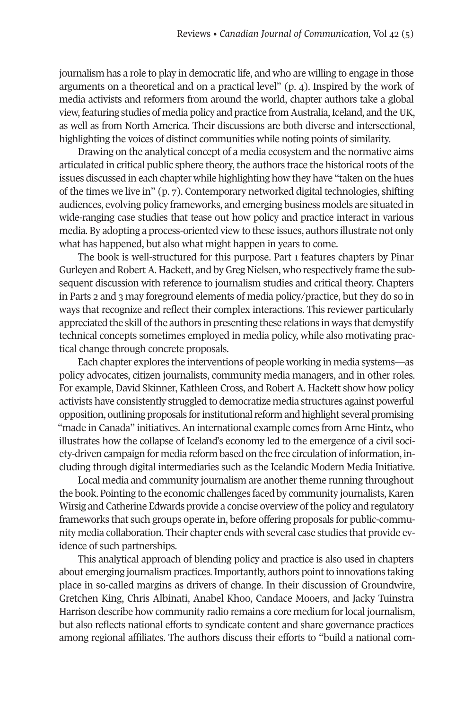journalism has a role to play in democratic life, and who are willing to engage in those arguments on a theoretical and on a practical level" (p. 4). Inspired by the work of media activists and reformers from around the world, chapter authors take a global view, featuring studies of media policy and practice from Australia, Iceland, and the UK, as well as from North America. Their discussions are both diverse and intersectional, highlighting the voices of distinct communities while noting points of similarity.

Drawing on the analytical concept of a media ecosystem and the normative aims articulated in critical public sphere theory, the authors trace the historical roots of the issues discussed in each chapter while highlighting how they have "taken on the hues of the times we live in" (p. 7). Contemporary networked digital technologies, shifting audiences, evolving policy frameworks, and emerging business models are situated in wide-ranging case studies that tease out how policy and practice interact in various media. By adopting a process-oriented view to these issues, authors illustrate not only what has happened, but also what might happen in years to come.

The book is well-structured for this purpose. Part 1 features chapters by Pinar Gurleyen and RobertA. Hackett, and byGreg Nielsen, who respectively frame the subsequent discussion with reference to journalism studies and critical theory. Chapters in Parts 2 and 3 may foreground elements of media policy/practice, but they do so in ways that recognize and reflect their complex interactions. This reviewer particularly appreciated the skill of the authors in presenting these relations in ways that demystify technical concepts sometimes employed in media policy, while also motivating practical change through concrete proposals.

Each chapter explores the interventions of people working in media systems—as policy advocates, citizen journalists, community media managers, and in other roles. For example, David Skinner, Kathleen Cross, and Robert A. Hackett show how policy activists have consistently struggled to democratize media structures against powerful opposition, outlining proposals for institutional reform and highlight several promising "made in Canada" initiatives. An international example comes from Arne Hintz, who illustrates how the collapse of Iceland's economy led to the emergence of a civil society-driven campaign for media reform based on the free circulation of information, including through digital intermediaries such as the Icelandic Modern Media Initiative.

Local media and community journalism are another theme running throughout the book. Pointing to the economic challenges faced by community journalists, Karen Wirsig and Catherine Edwards provide a concise overview of the policy and regulatory frameworks that such groups operate in, before offering proposals for public-community media collaboration. Their chapter ends with several case studies that provide evidence of such partnerships.

This analytical approach of blending policy and practice is also used in chapters about emerging journalism practices. Importantly, authors point to innovations taking place in so-called margins as drivers of change. In their discussion of Groundwire, Gretchen King, Chris Albinati, Anabel Khoo, Candace Mooers, and Jacky Tuinstra Harrison describe how community radio remains a core medium forlocal journalism, but also reflects national efforts to syndicate content and share governance practices among regional affiliates. The authors discuss their efforts to "build a national com